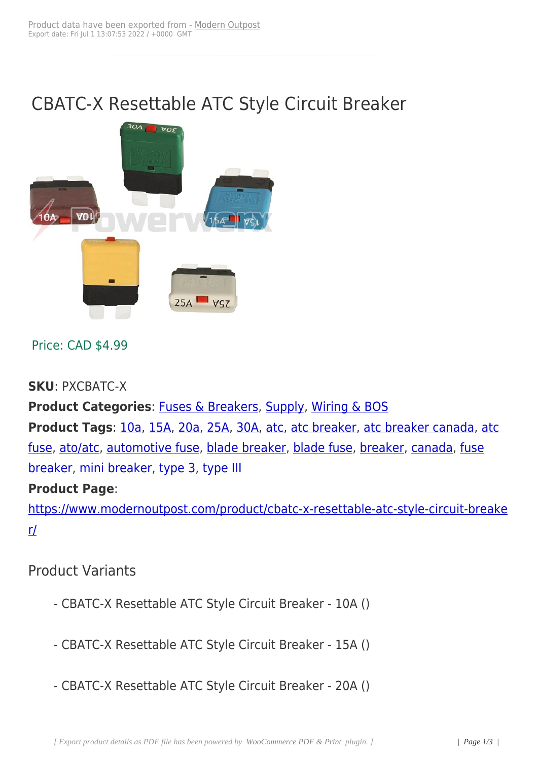# CBATC-X Resettable ATC Style Circuit Breaker



### Price: CAD \$4.99

**SKU**: PXCBATC-X

**Product Categories**: Fuses & Breakers, Supply, Wiring & BOS Product Tags: 10a, 15A, 20a, 25A, 30A, atc, atc breaker, atc breaker canada, atc fuse, ato/atc, automoti[ve fuse, blade bre](https://www.modernoutpost.com/product-category/solar-equipment-store-canada/solar-power-system-wiring-canada/fuses-breakers/)[aker, bla](https://www.modernoutpost.com/product-category/solar-equipment-store-canada/)[de fuse, break](https://www.modernoutpost.com/product-category/solar-equipment-store-canada/solar-power-system-wiring-canada/)er, canada, fuse br[eake](https://www.modernoutpost.com/product-tag/10a/)r, mini breake[r, typ](https://www.modernoutpost.com/product-tag/15a/)[e 3,](https://www.modernoutpost.com/product-tag/20a/) [type](https://www.modernoutpost.com/product-tag/25a/) [II](https://www.modernoutpost.com/product-tag/30a/)I

#### **[Prod](https://www.modernoutpost.com/product-tag/atc-fuse/)[uct Pag](https://www.modernoutpost.com/product-tag/ato-atc/)[e](https://www.modernoutpost.com/product-tag/automotive-fuse/)**:

[https://w](https://www.modernoutpost.com/product-tag/fuse-breaker/)[ww.modernou](https://www.modernoutpost.com/product-tag/mini-breaker/)[tpost.c](https://www.modernoutpost.com/product-tag/type-3/)[om/prod](https://www.modernoutpost.com/product-tag/type-iii/)uct/cbatc-x-resettable-atc-style-circuit-breake r/

## [Pr](https://www.modernoutpost.com/product/cbatc-x-resettable-atc-style-circuit-breaker/)oduct Variants

- CBATC-X Resettable ATC Style Circuit Breaker 10A ()
- CBATC-X Resettable ATC Style Circuit Breaker 15A ()
- CBATC-X Resettable ATC Style Circuit Breaker 20A ()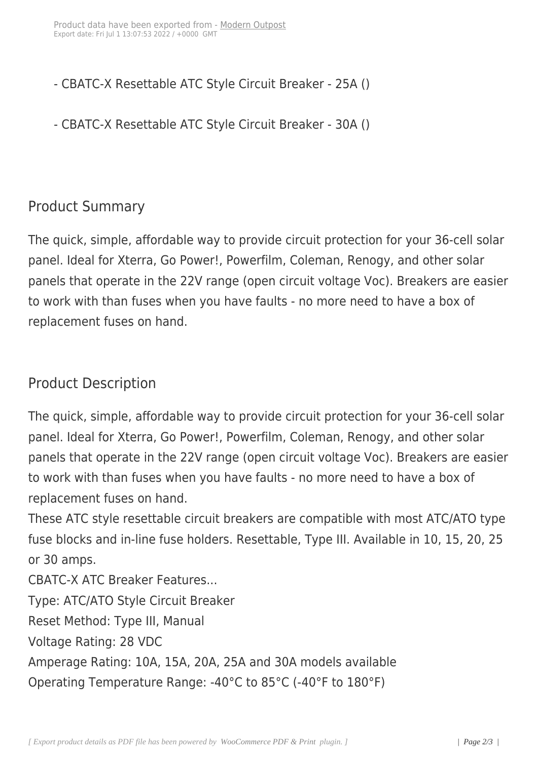- CBATC-X Resettable ATC Style Circuit Breaker 25A ()
- CBATC-X Resettable ATC Style Circuit Breaker 30A ()

## Product Summary

The quick, simple, affordable way to provide circuit protection for your 36-cell solar panel. Ideal for Xterra, Go Power!, Powerfilm, Coleman, Renogy, and other solar panels that operate in the 22V range (open circuit voltage Voc). Breakers are easier to work with than fuses when you have faults - no more need to have a box of replacement fuses on hand.

# Product Description

The quick, simple, affordable way to provide circuit protection for your 36-cell solar panel. Ideal for Xterra, Go Power!, Powerfilm, Coleman, Renogy, and other solar panels that operate in the 22V range (open circuit voltage Voc). Breakers are easier to work with than fuses when you have faults - no more need to have a box of replacement fuses on hand.

These ATC style resettable circuit breakers are compatible with most ATC/ATO type fuse blocks and in-line fuse holders. Resettable, Type III. Available in 10, 15, 20, 25 or 30 amps.

CBATC-X ATC Breaker Features...

Type: ATC/ATO Style Circuit Breaker

Reset Method: Type III, Manual

Voltage Rating: 28 VDC

Amperage Rating: 10A, 15A, 20A, 25A and 30A models available

Operating Temperature Range: -40°C to 85°C (-40°F to 180°F)